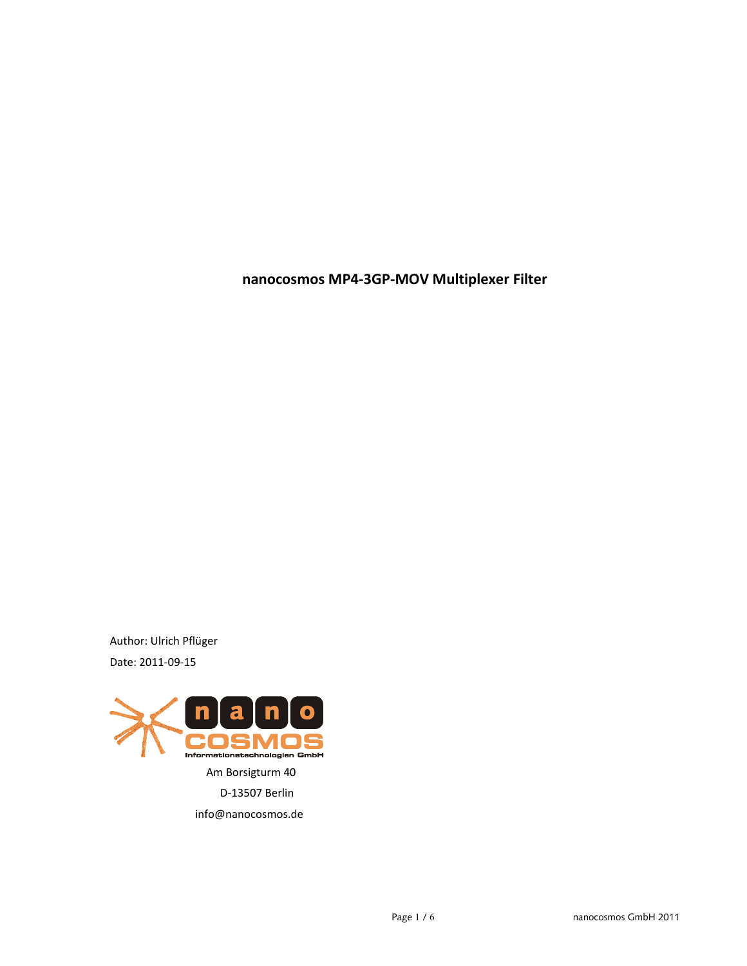**nanocosmos MP4-3GP-MOV Multiplexer Filter**

Author: Ulrich Pflüger Date: 2011-09-15

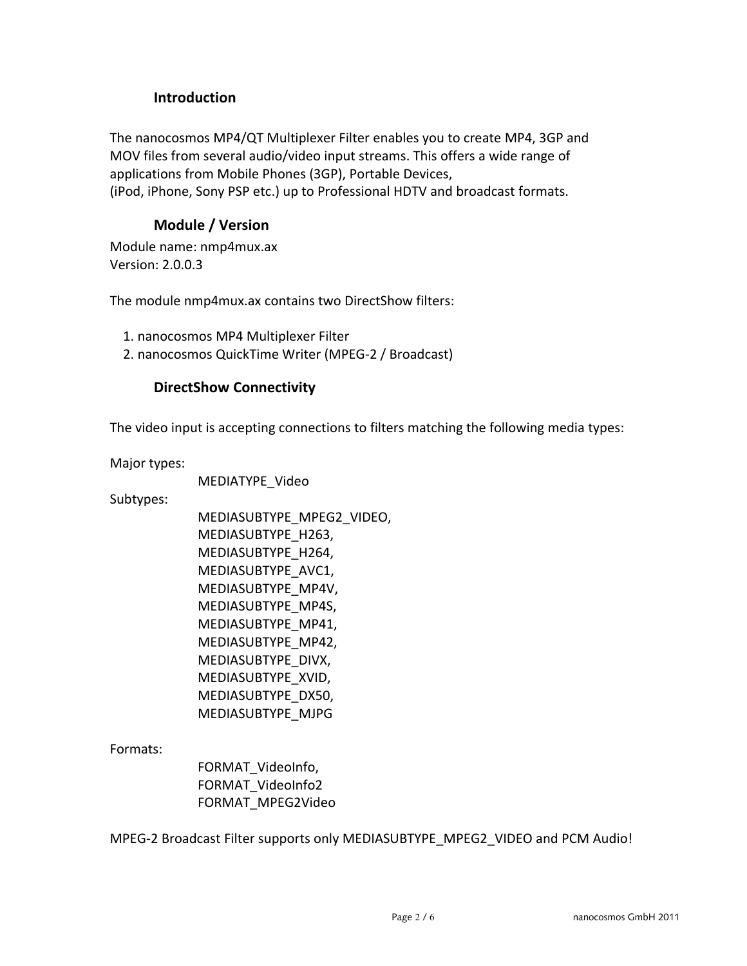# **Introduction**

The nanocosmos MP4/QT Multiplexer Filter enables you to create MP4, 3GP and MOV files from several audio/video input streams. This offers a wide range of applications from Mobile Phones (3GP), Portable Devices, (iPod, iPhone, Sony PSP etc.) up to Professional HDTV and broadcast formats.

# **Module / Version**

Module name: nmp4mux.ax Version: 2.0.0.3

The module nmp4mux.ax contains two DirectShow filters:

1. nanocosmos MP4 Multiplexer Filter

2. nanocosmos QuickTime Writer (MPEG-2 / Broadcast)

# **DirectShow Connectivity**

The video input is accepting connections to filters matching the following media types:

Major types:

MEDIATYPE\_Video

Subtypes:

MEDIASUBTYPE\_MPEG2\_VIDEO, MEDIASUBTYPE\_H263, MEDIASUBTYPE\_H264, MEDIASUBTYPE\_AVC1, MEDIASUBTYPE\_MP4V, MEDIASUBTYPE\_MP4S, MEDIASUBTYPE\_MP41, MEDIASUBTYPE\_MP42, MEDIASUBTYPE\_DIVX, MEDIASUBTYPE\_XVID, MEDIASUBTYPE\_DX50, MEDIASUBTYPE\_MJPG

Formats:

FORMAT\_VideoInfo, FORMAT\_VideoInfo2 FORMAT\_MPEG2Video

MPEG-2 Broadcast Filter supports only MEDIASUBTYPE\_MPEG2\_VIDEO and PCM Audio!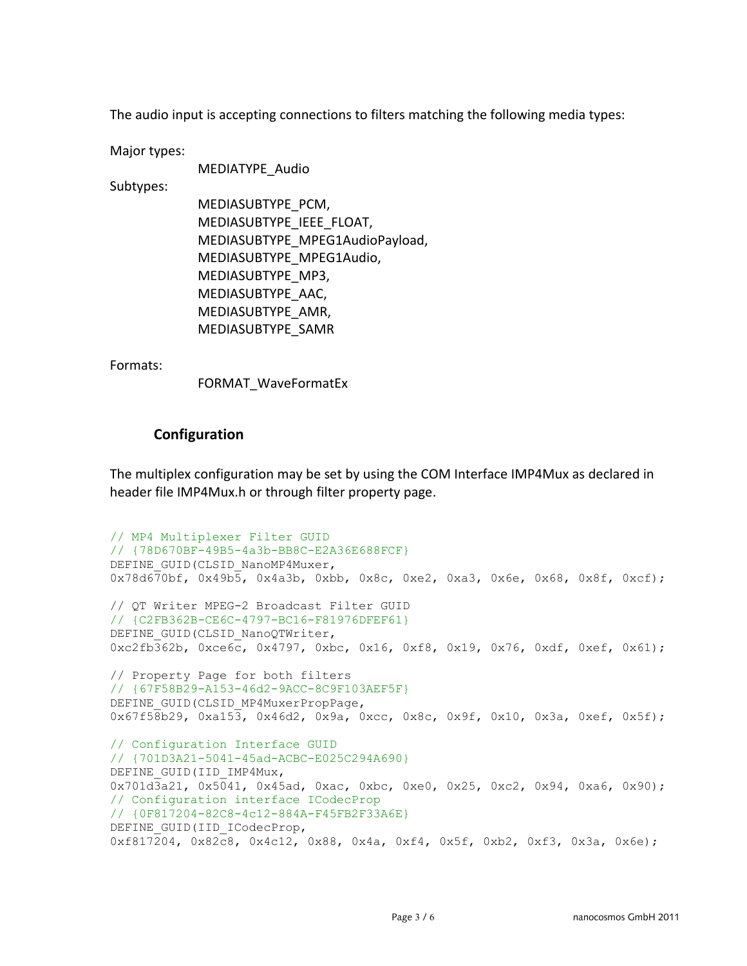The audio input is accepting connections to filters matching the following media types:

Major types:

MEDIATYPE\_Audio

Subtypes:

MEDIASUBTYPE\_PCM, MEDIASUBTYPE\_IEEE\_FLOAT, MEDIASUBTYPE\_MPEG1AudioPayload, MEDIASUBTYPE\_MPEG1Audio, MEDIASUBTYPE\_MP3, MEDIASUBTYPE\_AAC, MEDIASUBTYPE\_AMR, MEDIASUBTYPE\_SAMR

Formats:

FORMAT\_WaveFormatEx

## **Configuration**

The multiplex configuration may be set by using the COM Interface IMP4Mux as declared in header file IMP4Mux.h or through filter property page.

```
// MP4 Multiplexer Filter GUID
// {78D670BF-49B5-4a3b-BB8C-E2A36E688FCF}
DEFINE GUID(CLSID_NanoMP4Muxer,
0x78d670bf, 0x49b5, 0x4a3b, 0xbb, 0x8c, 0xe2, 0xa3, 0x6e, 0x68, 0x8f, 0xcf);
// QT Writer MPEG-2 Broadcast Filter GUID
// {C2FB362B-CE6C-4797-BC16-F81976DFEF61}
DEFINE_GUID(CLSID_NanoQTWriter,
0xc2fb362b, 0xce6c, 0x4797, 0xbc, 0x16, 0xf8, 0x19, 0x76, 0xdf, 0xef, 0x61);
// Property Page for both filters
// {67F58B29-A153-46d2-9ACC-8C9F103AEF5F}
DEFINE GUID(CLSID MP4MuxerPropPage,
0x67f58b29, 0xa153, 0x46d2, 0x9a, 0xcc, 0x8c, 0x9f, 0x10, 0x3a, 0xef, 0x5f);
// Configuration Interface GUID
// {701D3A21-5041-45ad-ACBC-E025C294A690}
DEFINE_GUID(IID_IMP4Mux,
0x701d3a21, 0x5041, 0x45ad, 0xac, 0xbc, 0xe0, 0x25, 0xc2, 0x94, 0xa6, 0x90);
// Configuration interface ICodecProp
// {0F817204-82C8-4c12-884A-F45FB2F33A6E}
DEFINE_GUID(IID_ICodecProp,
0xf817204, 0x82c8, 0x4c12, 0x88, 0x4a, 0xf4, 0x5f, 0xb2, 0xf3, 0x3a, 0x6e);
```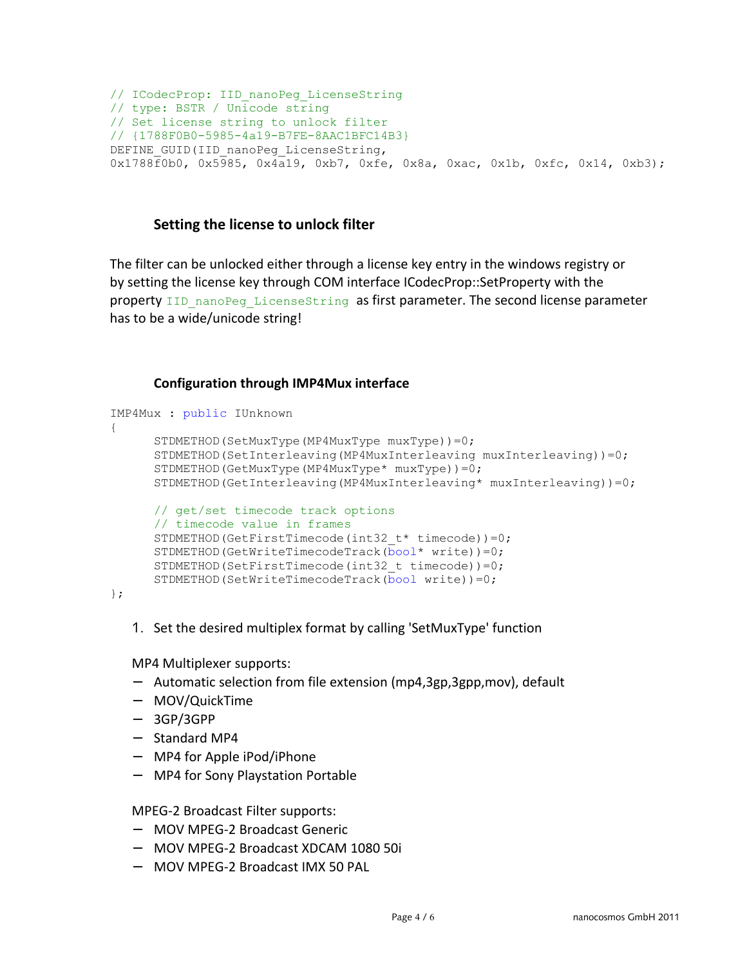```
// ICodecProp: IID_nanoPeg_LicenseString
// type: BSTR / Unicode string
// Set license string to unlock filter
// {1788F0B0-5985-4a19-B7FE-8AAC1BFC14B3}
DEFINE GUID(IID nanoPeg LicenseString,
0x1788f0b0, 0x5985, 0x4a19, 0xb7, 0xfe, 0x8a, 0xac, 0x1b, 0xfc, 0x14, 0xb3);
```
### **Setting the license to unlock filter**

The filter can be unlocked either through a license key entry in the windows registry or by setting the license key through COM interface ICodecProp::SetProperty with the property IID nanoPeg LicenseString as first parameter. The second license parameter has to be a wide/unicode string!

#### **Configuration through IMP4Mux interface**

```
IMP4Mux : public IUnknown
{
      STDMETHOD(SetMuxType(MP4MuxType muxType))=0;
     STDMETHOD(SetInterleaving(MP4MuxInterleaving muxInterleaving))=0;
      STDMETHOD(GetMuxType(MP4MuxType* muxType))=0;
     STDMETHOD(GetInterleaving(MP4MuxInterleaving* muxInterleaving))=0;
     // get/set timecode track options
     // timecode value in frames
     STDMETHOD(GetFirstTimecode(int32 t* timecode))=0;
     STDMETHOD(GetWriteTimecodeTrack(\overline{bool*} write))=0;
     STDMETHOD(SetFirstTimecode(int32 t timecode))=0;
      STDMETHOD(SetWriteTimecodeTrack(bool write))=0;
```
};

1. Set the desired multiplex format by calling 'SetMuxType' function

MP4 Multiplexer supports:

- − Automatic selection from file extension (mp4,3gp,3gpp,mov), default
- − MOV/QuickTime
- − 3GP/3GPP
- − Standard MP4
- − MP4 for Apple iPod/iPhone
- − MP4 for Sony Playstation Portable

#### MPEG-2 Broadcast Filter supports:

- − MOV MPEG-2 Broadcast Generic
- − MOV MPEG-2 Broadcast XDCAM 1080 50i
- − MOV MPEG-2 Broadcast IMX 50 PAL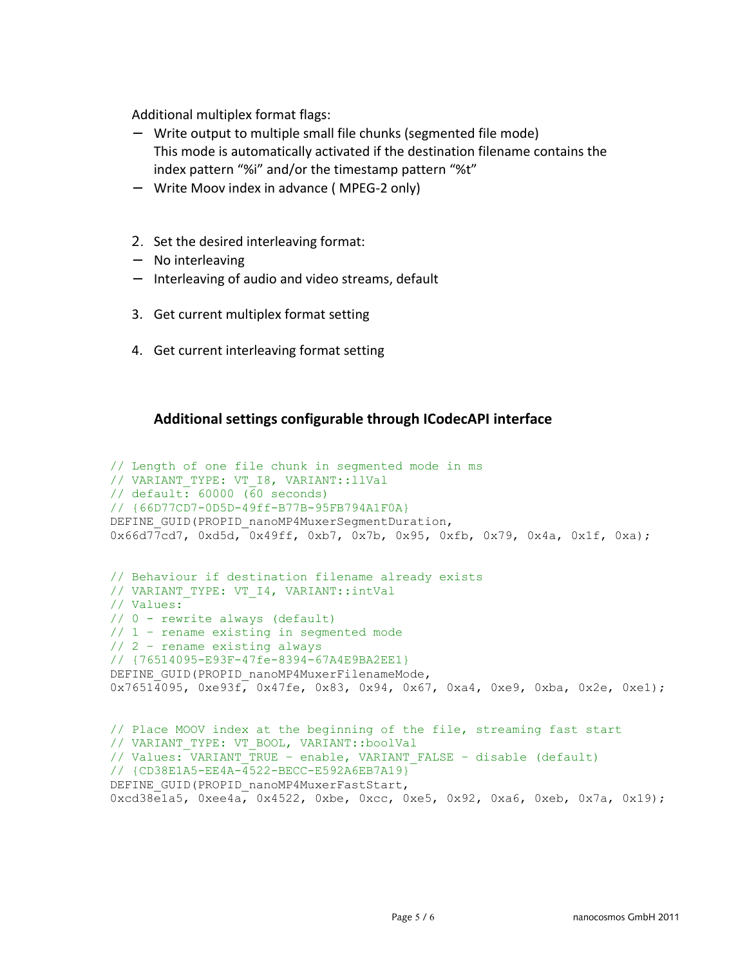Additional multiplex format flags:

- − Write output to multiple small file chunks (segmented file mode) This mode is automatically activated if the destination filename contains the index pattern "%i" and/or the timestamp pattern "%t"
- − Write Moov index in advance ( MPEG-2 only)
- 2. Set the desired interleaving format:
- − No interleaving
- − Interleaving of audio and video streams, default
- 3. Get current multiplex format setting
- 4. Get current interleaving format setting

## **Additional settings configurable through ICodecAPI interface**

```
// Length of one file chunk in segmented mode in ms
// VARIANT_TYPE: VT_I8, VARIANT::llVal
// default: 60000 (60 seconds)
// {66D77CD7-0D5D-49ff-B77B-95FB794A1F0A}
DEFINE GUID(PROPID nanoMP4MuxerSegmentDuration,
0x66d77cd7, 0xd5d, 0x49ff, 0xb7, 0x7b, 0x95, 0xfb, 0x79, 0x4a, 0x1f, 0xa);
// Behaviour if destination filename already exists
// VARIANT_TYPE: VT_I4, VARIANT::intVal
// Values: 
// 0 - rewrite always (default)
// 1 – rename existing in segmented mode
// 2 – rename existing always 
// {76514095-E93F-47fe-8394-67A4E9BA2EE1}
DEFINE GUID(PROPID_nanoMP4MuxerFilenameMode,
0x76514095, 0xe93f, 0x47fe, 0x83, 0x94, 0x67, 0xa4, 0xe9, 0xba, 0x2e, 0xe1);
// Place MOOV index at the beginning of the file, streaming fast start
// VARIANT_TYPE: VT_BOOL, VARIANT::boolVal
// Values: VARIANT_TRUE – enable, VARIANT_FALSE – disable (default) 
// {CD38E1A5-EE4A-4522-BECC-E592A6EB7A19}
DEFINE GUID(PROPID_nanoMP4MuxerFastStart,
0xcd38e1a5, 0xee4a, 0x4522, 0xbe, 0xcc, 0xe5, 0x92, 0xa6, 0xeb, 0x7a, 0x19);
```